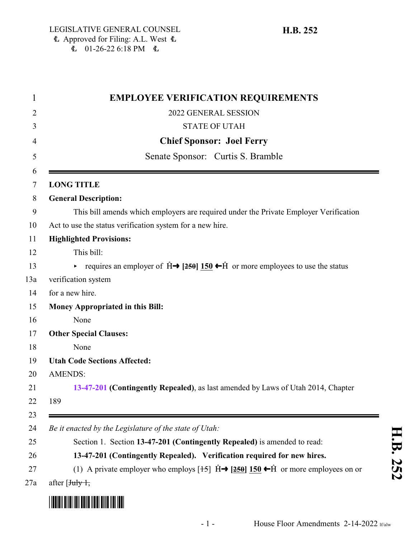<span id="page-0-0"></span>

| 1              | <b>EMPLOYEE VERIFICATION REQUIREMENTS</b>                                                                                         |
|----------------|-----------------------------------------------------------------------------------------------------------------------------------|
| 2              | 2022 GENERAL SESSION                                                                                                              |
| 3              | <b>STATE OF UTAH</b>                                                                                                              |
| $\overline{4}$ | <b>Chief Sponsor: Joel Ferry</b>                                                                                                  |
| 5              | Senate Sponsor: Curtis S. Bramble                                                                                                 |
| 6<br>$\tau$    | <b>LONG TITLE</b>                                                                                                                 |
| 8              | <b>General Description:</b>                                                                                                       |
| 9              | This bill amends which employers are required under the Private Employer Verification                                             |
| 10             | Act to use the status verification system for a new hire.                                                                         |
| 11             | <b>Highlighted Provisions:</b>                                                                                                    |
| 12             | This bill:                                                                                                                        |
| 13             | requires an employer of $\hat{H} \rightarrow [250]$ 150 $\leftarrow \hat{H}$ or more employees to use the status                  |
| 13a            | verification system                                                                                                               |
| 14             | for a new hire.                                                                                                                   |
| 15             | <b>Money Appropriated in this Bill:</b>                                                                                           |
| 16             | None                                                                                                                              |
| 17             | <b>Other Special Clauses:</b>                                                                                                     |
| 18             | None                                                                                                                              |
| 19             | <b>Utah Code Sections Affected:</b>                                                                                               |
| 20             | <b>AMENDS:</b>                                                                                                                    |
| 21             | 13-47-201 (Contingently Repealed), as last amended by Laws of Utah 2014, Chapter                                                  |
| 22             | 189                                                                                                                               |
| 23             |                                                                                                                                   |
| 24             | Be it enacted by the Legislature of the state of Utah:                                                                            |
| 25             | Section 1. Section 13-47-201 (Contingently Repealed) is amended to read:                                                          |
| 26             | 13-47-201 (Contingently Repealed). Verification required for new hires.                                                           |
| 27             | (1) A private employer who employs $[15]$ $\hat{H}$ $\rightarrow$ $[250]$ 150 $\leftrightarrow$ $\hat{H}$ or more employees on or |
| 27a            | after $\overline{J_{\text{tuly}} +}$                                                                                              |
|                |                                                                                                                                   |